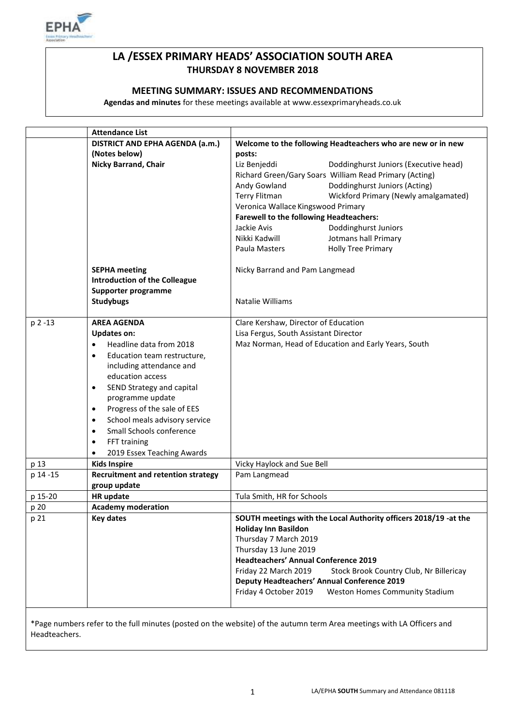

# **LA /ESSEX PRIMARY HEADS' ASSOCIATION SOUTH AREA THURSDAY 8 NOVEMBER 2018**

## **MEETING SUMMARY: ISSUES AND RECOMMENDATIONS**

**Agendas and minutes** for these meetings available at www.essexprimaryheads.co.uk

| DISTRICT AND EPHA AGENDA (a.m.)<br>Welcome to the following Headteachers who are new or in new<br>(Notes below)<br>posts: |
|---------------------------------------------------------------------------------------------------------------------------|
|                                                                                                                           |
|                                                                                                                           |
| Nicky Barrand, Chair<br>Liz Benjeddi<br>Doddinghurst Juniors (Executive head)                                             |
| Richard Green/Gary Soars William Read Primary (Acting)                                                                    |
| Doddinghurst Juniors (Acting)<br>Andy Gowland                                                                             |
| Terry Flitman<br>Wickford Primary (Newly amalgamated)                                                                     |
| Veronica Wallace Kingswood Primary                                                                                        |
| <b>Farewell to the following Headteachers:</b>                                                                            |
| Jackie Avis<br>Doddinghurst Juniors                                                                                       |
| Jotmans hall Primary<br>Nikki Kadwill                                                                                     |
| <b>Holly Tree Primary</b><br>Paula Masters                                                                                |
|                                                                                                                           |
| <b>SEPHA meeting</b><br>Nicky Barrand and Pam Langmead                                                                    |
| <b>Introduction of the Colleague</b>                                                                                      |
| Supporter programme                                                                                                       |
| <b>Studybugs</b><br>Natalie Williams                                                                                      |
|                                                                                                                           |
| p 2 -13<br><b>AREA AGENDA</b><br>Clare Kershaw, Director of Education                                                     |
| Lisa Fergus, South Assistant Director<br><b>Updates on:</b>                                                               |
| Headline data from 2018<br>Maz Norman, Head of Education and Early Years, South<br>$\bullet$                              |
| Education team restructure,<br>$\bullet$                                                                                  |
| including attendance and                                                                                                  |
| education access                                                                                                          |
| SEND Strategy and capital<br>$\bullet$                                                                                    |
| programme update                                                                                                          |
| Progress of the sale of EES<br>٠                                                                                          |
| School meals advisory service<br>$\bullet$                                                                                |
| Small Schools conference<br>$\bullet$                                                                                     |
| FFT training<br>$\bullet$                                                                                                 |
| 2019 Essex Teaching Awards<br>$\bullet$                                                                                   |
| p 13<br><b>Kids Inspire</b><br>Vicky Haylock and Sue Bell                                                                 |
| p 14 -15<br><b>Recruitment and retention strategy</b><br>Pam Langmead                                                     |
| group update                                                                                                              |
| p 15-20<br>HR update<br>Tula Smith, HR for Schools                                                                        |
| p 20<br><b>Academy moderation</b>                                                                                         |
| <b>Key dates</b><br>SOUTH meetings with the Local Authority officers 2018/19 -at the<br>p 21                              |
| <b>Holiday Inn Basildon</b>                                                                                               |
| Thursday 7 March 2019                                                                                                     |
| Thursday 13 June 2019                                                                                                     |
| <b>Headteachers' Annual Conference 2019</b>                                                                               |
| Friday 22 March 2019<br>Stock Brook Country Club, Nr Billericay                                                           |
| <b>Deputy Headteachers' Annual Conference 2019</b>                                                                        |
| Friday 4 October 2019<br><b>Weston Homes Community Stadium</b>                                                            |
|                                                                                                                           |

\*Page numbers refer to the full minutes (posted on the website) of the autumn term Area meetings with LA Officers and Headteachers.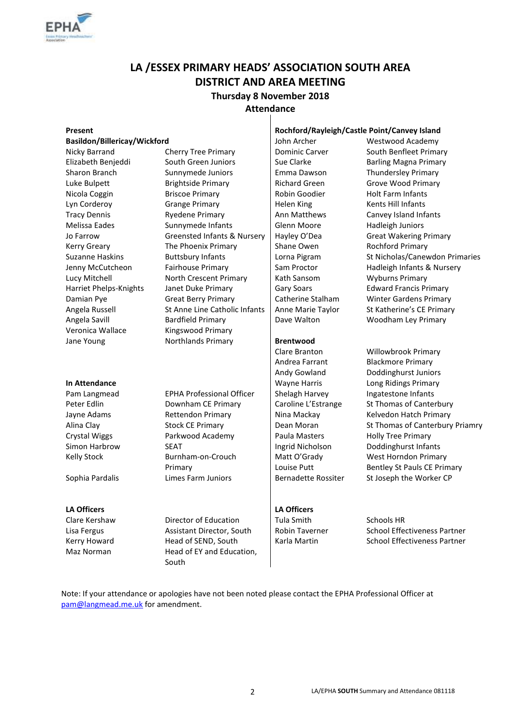

# **LA /ESSEX PRIMARY HEADS' ASSOCIATION SOUTH AREA DISTRICT AND AREA MEETING Thursday 8 November 2018**

#### **Attendance**  $\overline{\phantom{a}}$

| Present                      |                                        | Rochford/Rayleigh/Castle Point/Canvey Island |                                     |
|------------------------------|----------------------------------------|----------------------------------------------|-------------------------------------|
| Basildon/Billericay/Wickford |                                        | John Archer                                  | <b>Westwood Academy</b>             |
| Nicky Barrand                | <b>Cherry Tree Primary</b>             | <b>Dominic Carver</b>                        | South Benfleet Primary              |
| Elizabeth Benjeddi           | South Green Juniors                    | Sue Clarke                                   | <b>Barling Magna Primary</b>        |
| Sharon Branch                | Sunnymede Juniors                      | Emma Dawson                                  | <b>Thundersley Primary</b>          |
| Luke Bulpett                 | <b>Brightside Primary</b>              | <b>Richard Green</b>                         | Grove Wood Primary                  |
| Nicola Coggin                | <b>Briscoe Primary</b>                 | Robin Goodier                                | <b>Holt Farm Infants</b>            |
| Lyn Corderoy                 | <b>Grange Primary</b>                  | <b>Helen King</b>                            | Kents Hill Infants                  |
| <b>Tracy Dennis</b>          | <b>Ryedene Primary</b>                 | Ann Matthews                                 | Canvey Island Infants               |
| <b>Melissa Eades</b>         | Sunnymede Infants                      | Glenn Moore                                  | Hadleigh Juniors                    |
| Jo Farrow                    | <b>Greensted Infants &amp; Nursery</b> | Hayley O'Dea                                 | <b>Great Wakering Primary</b>       |
| <b>Kerry Greary</b>          | The Phoenix Primary                    | Shane Owen                                   | <b>Rochford Primary</b>             |
| <b>Suzanne Haskins</b>       | <b>Buttsbury Infants</b>               | Lorna Pigram                                 | St Nicholas/Canewdon Primaries      |
| Jenny McCutcheon             | Fairhouse Primary                      | Sam Proctor                                  | Hadleigh Infants & Nursery          |
| Lucy Mitchell                | North Crescent Primary                 | Kath Sansom                                  | <b>Wyburns Primary</b>              |
| Harriet Phelps-Knights       | Janet Duke Primary                     | <b>Gary Soars</b>                            | <b>Edward Francis Primary</b>       |
| Damian Pye                   | <b>Great Berry Primary</b>             | Catherine Stalham                            | <b>Winter Gardens Primary</b>       |
| Angela Russell               | St Anne Line Catholic Infants          | Anne Marie Taylor                            | St Katherine's CE Primary           |
| Angela Savill                | <b>Bardfield Primary</b>               | Dave Walton                                  | Woodham Ley Primary                 |
| Veronica Wallace             | Kingswood Primary                      |                                              |                                     |
| Jane Young                   | Northlands Primary                     | <b>Brentwood</b>                             |                                     |
|                              |                                        | Clare Branton                                | Willowbrook Primary                 |
|                              |                                        | Andrea Farrant                               | <b>Blackmore Primary</b>            |
|                              |                                        | Andy Gowland                                 | Doddinghurst Juniors                |
| In Attendance                |                                        | <b>Wayne Harris</b>                          | Long Ridings Primary                |
| Pam Langmead                 | <b>EPHA Professional Officer</b>       | Shelagh Harvey                               | Ingatestone Infants                 |
| Peter Edlin                  | Downham CE Primary                     | Caroline L'Estrange                          | St Thomas of Canterbury             |
| Jayne Adams                  | <b>Rettendon Primary</b>               | Nina Mackay                                  | Kelvedon Hatch Primary              |
| Alina Clay                   | <b>Stock CE Primary</b>                | Dean Moran                                   | St Thomas of Canterbury Priamry     |
| <b>Crystal Wiggs</b>         | Parkwood Academy                       | Paula Masters                                | <b>Holly Tree Primary</b>           |
| Simon Harbrow                | <b>SEAT</b>                            | Ingrid Nicholson                             | Doddinghurst Infants                |
| <b>Kelly Stock</b>           | Burnham-on-Crouch                      | Matt O'Grady                                 | West Horndon Primary                |
|                              | Primary                                | Louise Putt                                  | Bentley St Pauls CE Primary         |
| Sophia Pardalis              | Limes Farm Juniors                     | <b>Bernadette Rossiter</b>                   | St Joseph the Worker CP             |
| <b>LA Officers</b>           |                                        | <b>LA Officers</b>                           |                                     |
| Clare Kershaw                | Director of Education                  | <b>Tula Smith</b>                            | Schools HR                          |
| Lisa Fergus                  | Assistant Director, South              | <b>Robin Taverner</b>                        | <b>School Effectiveness Partner</b> |
| Kerry Howard                 | Head of SEND, South                    | Karla Martin                                 | <b>School Effectiveness Partner</b> |

Note: If your attendance or apologies have not been noted please contact the EPHA Professional Officer at [pam@langmead.me.uk](mailto:pam@langmead.me.uk) for amendment.

Maz Norman Head of EY and Education,

South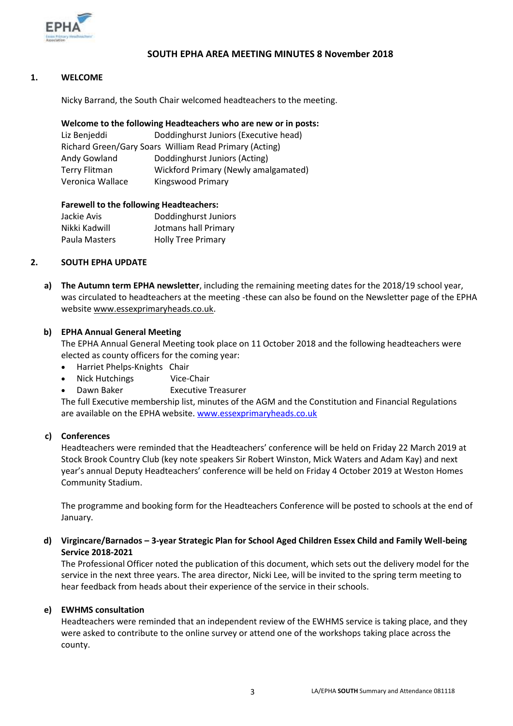

# **SOUTH EPHA AREA MEETING MINUTES 8 November 2018**

### **1. WELCOME**

Nicky Barrand, the South Chair welcomed headteachers to the meeting.

#### **Welcome to the following Headteachers who are new or in posts:**

| Liz Benjeddi                                           | Doddinghurst Juniors (Executive head) |  |  |  |
|--------------------------------------------------------|---------------------------------------|--|--|--|
| Richard Green/Gary Soars William Read Primary (Acting) |                                       |  |  |  |
| Andy Gowland                                           | Doddinghurst Juniors (Acting)         |  |  |  |
| Terry Flitman                                          | Wickford Primary (Newly amalgamated)  |  |  |  |
| Veronica Wallace                                       | Kingswood Primary                     |  |  |  |

#### **Farewell to the following Headteachers:**

| Doddinghurst Juniors      |
|---------------------------|
| Jotmans hall Primary      |
| <b>Holly Tree Primary</b> |
|                           |

#### **2. SOUTH EPHA UPDATE**

**a) The Autumn term EPHA newsletter**, including the remaining meeting dates for the 2018/19 school year, was circulated to headteachers at the meeting -these can also be found on the Newsletter page of the EPHA websit[e www.essexprimaryheads.co.uk.](http://www.essexprimaryheads.co.uk/)

#### **b) EPHA Annual General Meeting**

The EPHA Annual General Meeting took place on 11 October 2018 and the following headteachers were elected as county officers for the coming year:

- Harriet Phelps-Knights Chair
- Nick Hutchings Vice-Chair
- Dawn Baker Executive Treasurer

The full Executive membership list, minutes of the AGM and the Constitution and Financial Regulations are available on the EPHA website. [www.essexprimaryheads.co.uk](http://www.essexprimaryheads.co.uk/)

#### **c) Conferences**

Headteachers were reminded that the Headteachers' conference will be held on Friday 22 March 2019 at Stock Brook Country Club (key note speakers Sir Robert Winston, Mick Waters and Adam Kay) and next year's annual Deputy Headteachers' conference will be held on Friday 4 October 2019 at Weston Homes Community Stadium.

The programme and booking form for the Headteachers Conference will be posted to schools at the end of January.

# **d) Virgincare/Barnados – 3-year Strategic Plan for School Aged Children Essex Child and Family Well-being Service 2018-2021**

The Professional Officer noted the publication of this document, which sets out the delivery model for the service in the next three years. The area director, Nicki Lee, will be invited to the spring term meeting to hear feedback from heads about their experience of the service in their schools.

#### **e) EWHMS consultation**

Headteachers were reminded that an independent review of the EWHMS service is taking place, and they were asked to contribute to the online survey or attend one of the workshops taking place across the county.